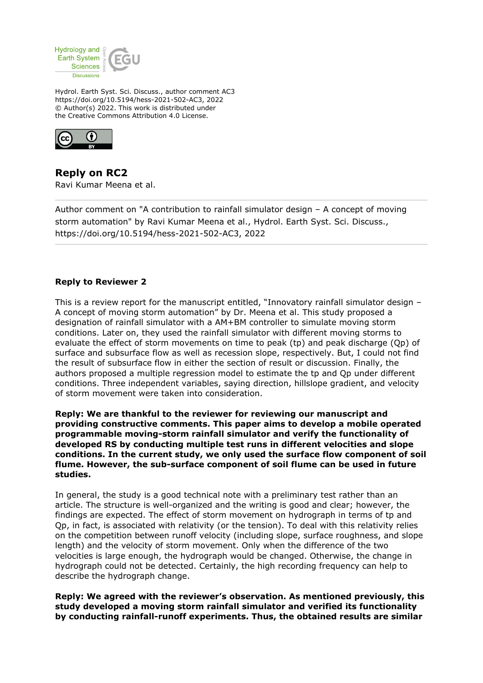

Hydrol. Earth Syst. Sci. Discuss., author comment AC3 https://doi.org/10.5194/hess-2021-502-AC3, 2022 © Author(s) 2022. This work is distributed under the Creative Commons Attribution 4.0 License.



**Reply on RC2** Ravi Kumar Meena et al.

Author comment on "A contribution to rainfall simulator design – A concept of moving storm automation" by Ravi Kumar Meena et al., Hydrol. Earth Syst. Sci. Discuss., https://doi.org/10.5194/hess-2021-502-AC3, 2022

## **Reply to Reviewer 2**

This is a review report for the manuscript entitled, "Innovatory rainfall simulator design – A concept of moving storm automation" by Dr. Meena et al. This study proposed a designation of rainfall simulator with a AM+BM controller to simulate moving storm conditions. Later on, they used the rainfall simulator with different moving storms to evaluate the effect of storm movements on time to peak (tp) and peak discharge (Qp) of surface and subsurface flow as well as recession slope, respectively. But, I could not find the result of subsurface flow in either the section of result or discussion. Finally, the authors proposed a multiple regression model to estimate the tp and Qp under different conditions. Three independent variables, saying direction, hillslope gradient, and velocity of storm movement were taken into consideration.

**Reply: We are thankful to the reviewer for reviewing our manuscript and providing constructive comments. This paper aims to develop a mobile operated programmable moving-storm rainfall simulator and verify the functionality of developed RS by conducting multiple test runs in different velocities and slope conditions. In the current study, we only used the surface flow component of soil flume. However, the sub-surface component of soil flume can be used in future studies.** 

In general, the study is a good technical note with a preliminary test rather than an article. The structure is well-organized and the writing is good and clear; however, the findings are expected. The effect of storm movement on hydrograph in terms of tp and Qp, in fact, is associated with relativity (or the tension). To deal with this relativity relies on the competition between runoff velocity (including slope, surface roughness, and slope length) and the velocity of storm movement. Only when the difference of the two velocities is large enough, the hydrograph would be changed. Otherwise, the change in hydrograph could not be detected. Certainly, the high recording frequency can help to describe the hydrograph change.

**Reply: We agreed with the reviewer's observation. As mentioned previously, this study developed a moving storm rainfall simulator and verified its functionality by conducting rainfall-runoff experiments. Thus, the obtained results are similar**